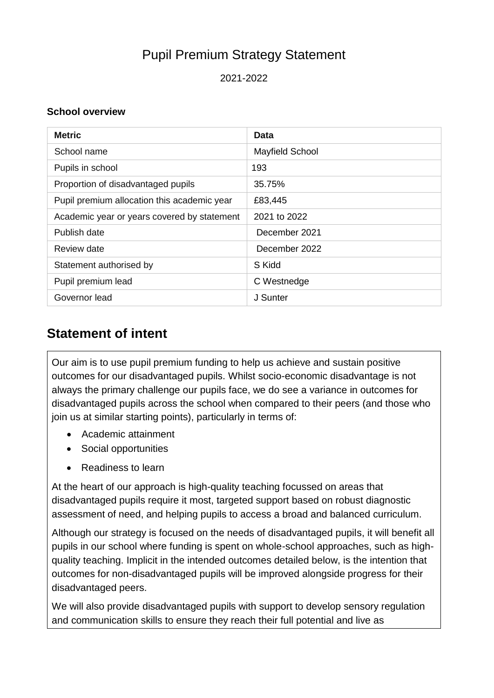# Pupil Premium Strategy Statement

2021-2022

#### **School overview**

| <b>Metric</b>                               | Data                   |
|---------------------------------------------|------------------------|
| School name                                 | <b>Mayfield School</b> |
| Pupils in school                            | 193                    |
| Proportion of disadvantaged pupils          | 35.75%                 |
| Pupil premium allocation this academic year | £83,445                |
| Academic year or years covered by statement | 2021 to 2022           |
| Publish date                                | December 2021          |
| Review date                                 | December 2022          |
| Statement authorised by                     | S Kidd                 |
| Pupil premium lead                          | C Westnedge            |
| Governor lead                               | J Sunter               |

## **Statement of intent**

Our aim is to use pupil premium funding to help us achieve and sustain positive outcomes for our disadvantaged pupils. Whilst socio-economic disadvantage is not always the primary challenge our pupils face, we do see a variance in outcomes for disadvantaged pupils across the school when compared to their peers (and those who join us at similar starting points), particularly in terms of:

- Academic attainment
- Social opportunities
- Readiness to learn

At the heart of our approach is high-quality teaching focussed on areas that disadvantaged pupils require it most, targeted support based on robust diagnostic assessment of need, and helping pupils to access a broad and balanced curriculum.

Although our strategy is focused on the needs of disadvantaged pupils, it will benefit all pupils in our school where funding is spent on whole-school approaches, such as highquality teaching. Implicit in the intended outcomes detailed below, is the intention that outcomes for non-disadvantaged pupils will be improved alongside progress for their disadvantaged peers.

We will also provide disadvantaged pupils with support to develop sensory regulation and communication skills to ensure they reach their full potential and live as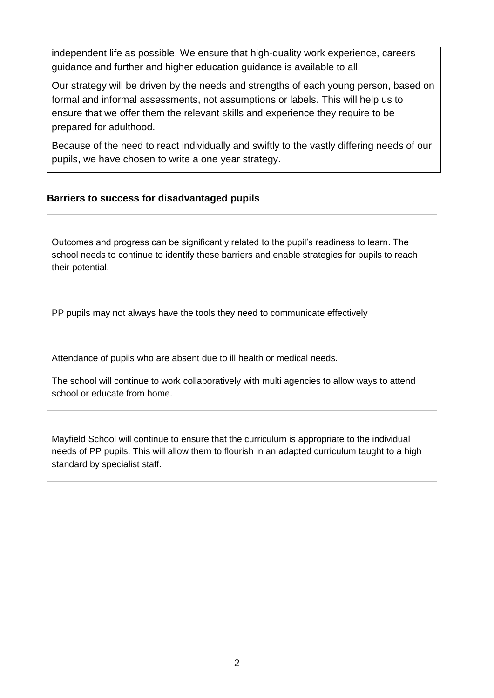independent life as possible. We ensure that high-quality work experience, careers guidance and further and higher education guidance is available to all.

Our strategy will be driven by the needs and strengths of each young person, based on formal and informal assessments, not assumptions or labels. This will help us to ensure that we offer them the relevant skills and experience they require to be prepared for adulthood.

Because of the need to react individually and swiftly to the vastly differing needs of our pupils, we have chosen to write a one year strategy.

#### **Barriers to success for disadvantaged pupils**

Outcomes and progress can be significantly related to the pupil's readiness to learn. The school needs to continue to identify these barriers and enable strategies for pupils to reach their potential.

PP pupils may not always have the tools they need to communicate effectively

Attendance of pupils who are absent due to ill health or medical needs.

The school will continue to work collaboratively with multi agencies to allow ways to attend school or educate from home.

Mayfield School will continue to ensure that the curriculum is appropriate to the individual needs of PP pupils. This will allow them to flourish in an adapted curriculum taught to a high standard by specialist staff.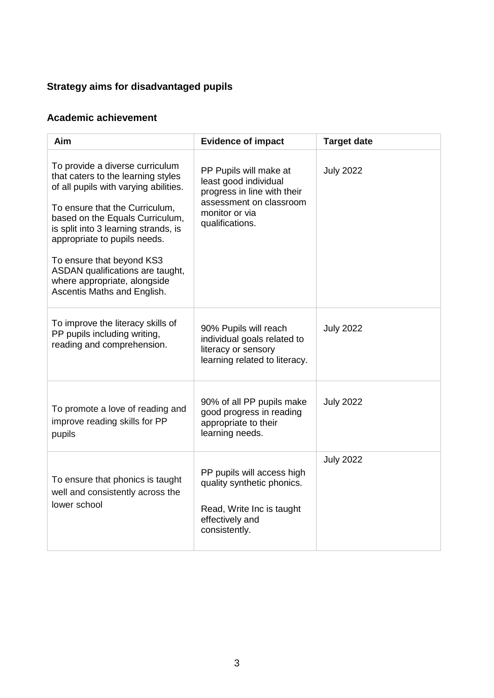#### **Strategy aims for disadvantaged pupils**

### **Academic achievement**

| <b>Aim</b>                                                                                                                                                                                                                                                                                                                                                                                  | <b>Evidence of impact</b>                                                                                                                      | <b>Target date</b> |
|---------------------------------------------------------------------------------------------------------------------------------------------------------------------------------------------------------------------------------------------------------------------------------------------------------------------------------------------------------------------------------------------|------------------------------------------------------------------------------------------------------------------------------------------------|--------------------|
| To provide a diverse curriculum<br>that caters to the learning styles<br>of all pupils with varying abilities.<br>To ensure that the Curriculum,<br>based on the Equals Curriculum,<br>is split into 3 learning strands, is<br>appropriate to pupils needs.<br>To ensure that beyond KS3<br>ASDAN qualifications are taught,<br>where appropriate, alongside<br>Ascentis Maths and English. | PP Pupils will make at<br>least good individual<br>progress in line with their<br>assessment on classroom<br>monitor or via<br>qualifications. | <b>July 2022</b>   |
| To improve the literacy skills of<br>PP pupils including writing,<br>reading and comprehension.                                                                                                                                                                                                                                                                                             | 90% Pupils will reach<br>individual goals related to<br>literacy or sensory<br>learning related to literacy.                                   | <b>July 2022</b>   |
| To promote a love of reading and<br>improve reading skills for PP<br>pupils                                                                                                                                                                                                                                                                                                                 | 90% of all PP pupils make<br>good progress in reading<br>appropriate to their<br>learning needs.                                               | <b>July 2022</b>   |
| To ensure that phonics is taught<br>well and consistently across the<br>lower school                                                                                                                                                                                                                                                                                                        | PP pupils will access high<br>quality synthetic phonics.<br>Read, Write Inc is taught<br>effectively and<br>consistently.                      | <b>July 2022</b>   |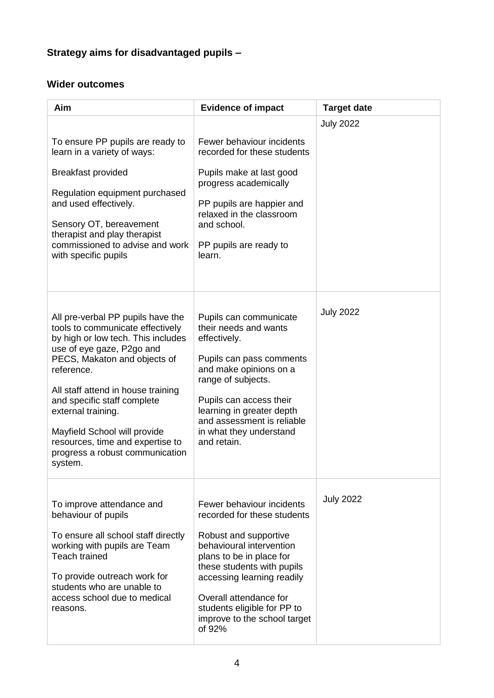### **Strategy aims for disadvantaged pupils –**

#### **Wider outcomes**

| Aim                                                                                                                                                                                                                                                                                                                                                                                                 | <b>Evidence of impact</b>                                                                                                                                                                                                                                                                                | <b>Target date</b> |
|-----------------------------------------------------------------------------------------------------------------------------------------------------------------------------------------------------------------------------------------------------------------------------------------------------------------------------------------------------------------------------------------------------|----------------------------------------------------------------------------------------------------------------------------------------------------------------------------------------------------------------------------------------------------------------------------------------------------------|--------------------|
| To ensure PP pupils are ready to<br>learn in a variety of ways:<br><b>Breakfast provided</b><br>Regulation equipment purchased<br>and used effectively.<br>Sensory OT, bereavement<br>therapist and play therapist<br>commissioned to advise and work<br>with specific pupils                                                                                                                       | Fewer behaviour incidents<br>recorded for these students<br>Pupils make at last good<br>progress academically<br>PP pupils are happier and<br>relaxed in the classroom<br>and school.<br>PP pupils are ready to<br>learn.                                                                                | <b>July 2022</b>   |
| All pre-verbal PP pupils have the<br>tools to communicate effectively<br>by high or low tech. This includes<br>use of eye gaze, P2go and<br>PECS, Makaton and objects of<br>reference.<br>All staff attend in house training<br>and specific staff complete<br>external training.<br>Mayfield School will provide<br>resources, time and expertise to<br>progress a robust communication<br>system. | Pupils can communicate<br>their needs and wants<br>effectively.<br>Pupils can pass comments<br>and make opinions on a<br>range of subjects.<br>Pupils can access their<br>learning in greater depth<br>and assessment is reliable<br>in what they understand<br>and retain.                              | <b>July 2022</b>   |
| To improve attendance and<br>behaviour of pupils<br>To ensure all school staff directly<br>working with pupils are Team<br><b>Teach trained</b><br>To provide outreach work for<br>students who are unable to<br>access school due to medical<br>reasons.                                                                                                                                           | Fewer behaviour incidents<br>recorded for these students<br>Robust and supportive<br>behavioural intervention<br>plans to be in place for<br>these students with pupils<br>accessing learning readily<br>Overall attendance for<br>students eligible for PP to<br>improve to the school target<br>of 92% | <b>July 2022</b>   |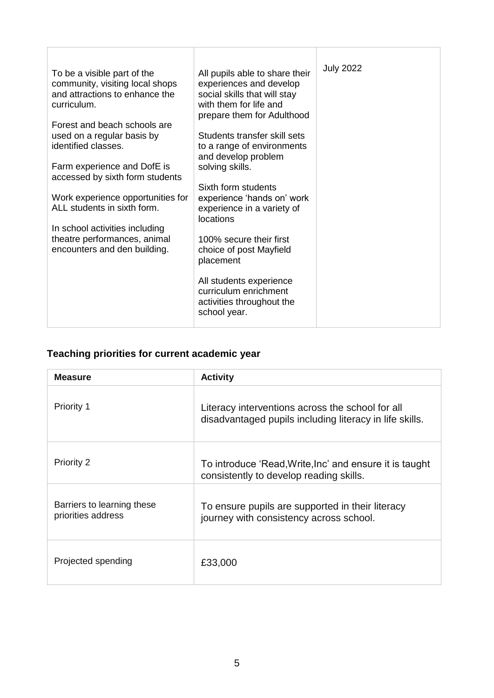| To be a visible part of the<br>community, visiting local shops<br>and attractions to enhance the<br>curriculum.<br>Forest and beach schools are<br>used on a regular basis by<br>identified classes.<br>Farm experience and DofE is<br>accessed by sixth form students<br>Work experience opportunities for<br>ALL students in sixth form.<br>In school activities including<br>theatre performances, animal<br>encounters and den building. | All pupils able to share their<br>experiences and develop<br>social skills that will stay<br>with them for life and<br>prepare them for Adulthood<br>Students transfer skill sets<br>to a range of environments<br>and develop problem<br>solving skills.<br>Sixth form students<br>experience 'hands on' work<br>experience in a variety of<br>locations<br>100% secure their first<br>choice of post Mayfield<br>placement<br>All students experience | <b>July 2022</b> |
|----------------------------------------------------------------------------------------------------------------------------------------------------------------------------------------------------------------------------------------------------------------------------------------------------------------------------------------------------------------------------------------------------------------------------------------------|---------------------------------------------------------------------------------------------------------------------------------------------------------------------------------------------------------------------------------------------------------------------------------------------------------------------------------------------------------------------------------------------------------------------------------------------------------|------------------|
|                                                                                                                                                                                                                                                                                                                                                                                                                                              | curriculum enrichment<br>activities throughout the<br>school year.                                                                                                                                                                                                                                                                                                                                                                                      |                  |

### **Teaching priorities for current academic year**

| <b>Measure</b>                                   | <b>Activity</b>                                                                                             |
|--------------------------------------------------|-------------------------------------------------------------------------------------------------------------|
| <b>Priority 1</b>                                | Literacy interventions across the school for all<br>disadvantaged pupils including literacy in life skills. |
| <b>Priority 2</b>                                | To introduce 'Read,Write,Inc' and ensure it is taught<br>consistently to develop reading skills.            |
| Barriers to learning these<br>priorities address | To ensure pupils are supported in their literacy<br>journey with consistency across school.                 |
| Projected spending                               | £33,000                                                                                                     |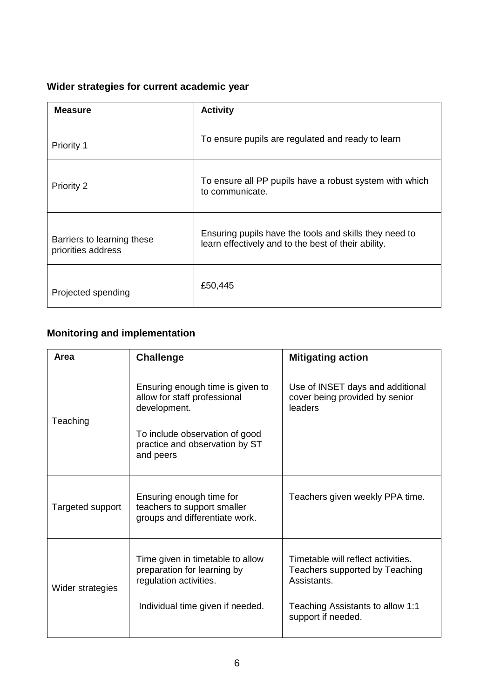#### **Wider strategies for current academic year**

| <b>Measure</b>                                   | <b>Activity</b>                                                                                               |
|--------------------------------------------------|---------------------------------------------------------------------------------------------------------------|
| Priority 1                                       | To ensure pupils are regulated and ready to learn                                                             |
| Priority 2                                       | To ensure all PP pupils have a robust system with which<br>to communicate.                                    |
| Barriers to learning these<br>priorities address | Ensuring pupils have the tools and skills they need to<br>learn effectively and to the best of their ability. |
| Projected spending                               | £50,445                                                                                                       |

### **Monitoring and implementation**

| Area             | <b>Challenge</b>                                                                                                                                                  | <b>Mitigating action</b>                                                                                                                      |
|------------------|-------------------------------------------------------------------------------------------------------------------------------------------------------------------|-----------------------------------------------------------------------------------------------------------------------------------------------|
| Teaching         | Ensuring enough time is given to<br>allow for staff professional<br>development.<br>To include observation of good<br>practice and observation by ST<br>and peers | Use of INSET days and additional<br>cover being provided by senior<br>leaders                                                                 |
| Targeted support | Ensuring enough time for<br>teachers to support smaller<br>groups and differentiate work.                                                                         | Teachers given weekly PPA time.                                                                                                               |
| Wider strategies | Time given in timetable to allow<br>preparation for learning by<br>regulation activities.<br>Individual time given if needed.                                     | Timetable will reflect activities.<br>Teachers supported by Teaching<br>Assistants.<br>Teaching Assistants to allow 1:1<br>support if needed. |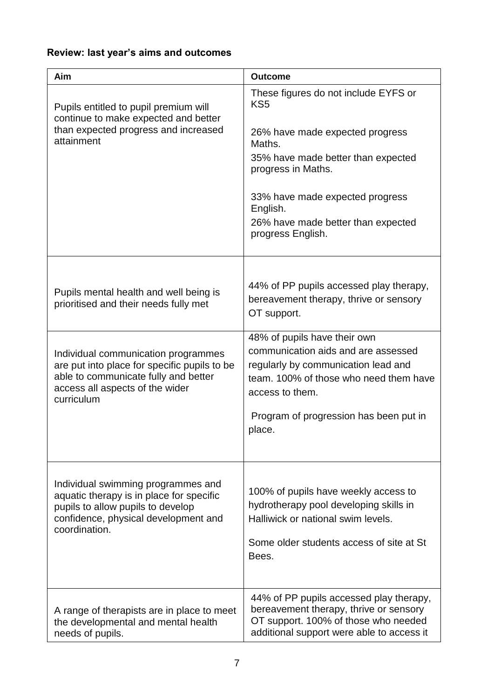### **Review: last year's aims and outcomes**

| Aim                                                                                                                                                                                                                                                             | <b>Outcome</b>                                                                                                                                                                                                                                                                                                                  |
|-----------------------------------------------------------------------------------------------------------------------------------------------------------------------------------------------------------------------------------------------------------------|---------------------------------------------------------------------------------------------------------------------------------------------------------------------------------------------------------------------------------------------------------------------------------------------------------------------------------|
| Pupils entitled to pupil premium will<br>continue to make expected and better<br>than expected progress and increased<br>attainment                                                                                                                             | These figures do not include EYFS or<br>KS <sub>5</sub><br>26% have made expected progress<br>Maths.<br>35% have made better than expected<br>progress in Maths.<br>33% have made expected progress<br>English.<br>26% have made better than expected<br>progress English.                                                      |
| Pupils mental health and well being is<br>prioritised and their needs fully met<br>Individual communication programmes<br>are put into place for specific pupils to be<br>able to communicate fully and better<br>access all aspects of the wider<br>curriculum | 44% of PP pupils accessed play therapy,<br>bereavement therapy, thrive or sensory<br>OT support.<br>48% of pupils have their own<br>communication aids and are assessed<br>regularly by communication lead and<br>team. 100% of those who need them have<br>access to them.<br>Program of progression has been put in<br>place. |
| Individual swimming programmes and<br>aquatic therapy is in place for specific<br>pupils to allow pupils to develop<br>confidence, physical development and<br>coordination.                                                                                    | 100% of pupils have weekly access to<br>hydrotherapy pool developing skills in<br>Halliwick or national swim levels.<br>Some older students access of site at St<br>Bees.                                                                                                                                                       |
| A range of therapists are in place to meet<br>the developmental and mental health<br>needs of pupils.                                                                                                                                                           | 44% of PP pupils accessed play therapy,<br>bereavement therapy, thrive or sensory<br>OT support. 100% of those who needed<br>additional support were able to access it                                                                                                                                                          |